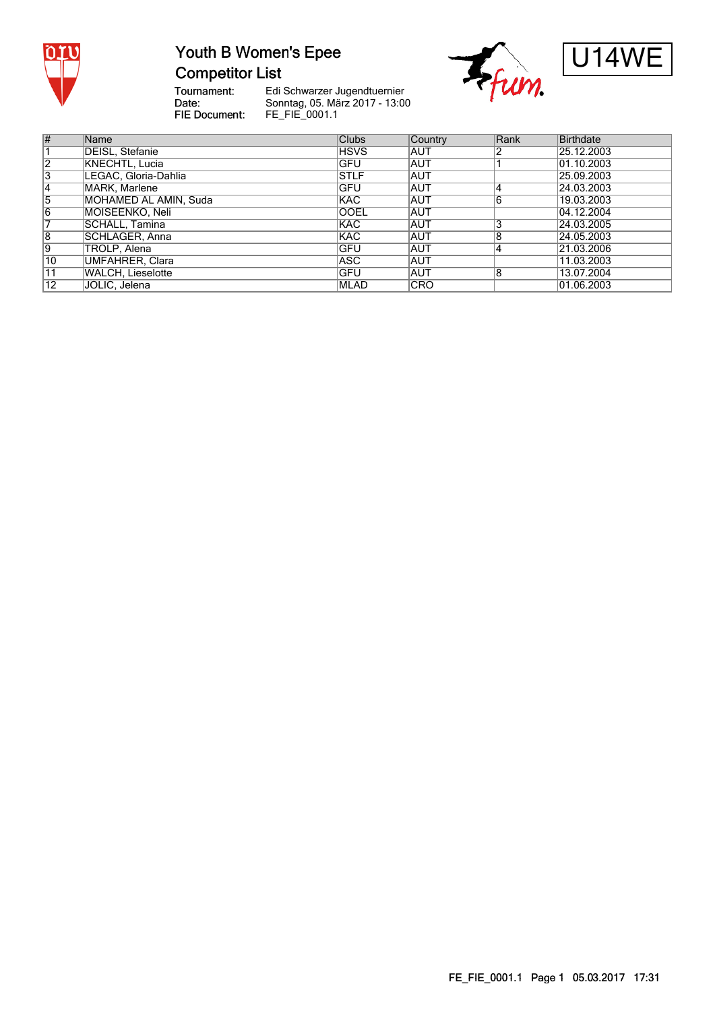

### Youth B Women's Epee **Competitor List**





Tournament:<br>Date: FIE Document:

Edi Schwarzer Jugendtuernier Sonntag, 05. März 2017 - 13:00 FE\_FIE\_0001.1

| #              | Name                   | <b>Clubs</b> | Country    | Rank           | Birthdate  |
|----------------|------------------------|--------------|------------|----------------|------------|
|                | DEISL, Stefanie        | <b>HSVS</b>  | <b>AUT</b> |                | 25.12.2003 |
| 2              | KNECHTL, Lucia         | <b>GFU</b>   | <b>AUT</b> |                | 01.10.2003 |
| 3              | LEGAC, Gloria-Dahlia   | <b>STLF</b>  | <b>AUT</b> |                | 25.09.2003 |
| 4              | MARK, Marlene          | <b>GFU</b>   | <b>AUT</b> | 4              | 24.03.2003 |
| $\overline{5}$ | MOHAMED AL AMIN, Suda  | <b>KAC</b>   | <b>AUT</b> | 6              | 19.03.2003 |
| $\overline{6}$ | MOISEENKO, Neli        | <b>OOEL</b>  | <b>AUT</b> |                | 04.12.2004 |
|                | SCHALL, Tamina         | <b>KAC</b>   | <b>AUT</b> | 3              | 24.03.2005 |
| 8              | SCHLAGER, Anna         | <b>KAC</b>   | <b>AUT</b> | 8              | 24.05.2003 |
| 9              | TROLP, Alena           | <b>IGFU</b>  | <b>AUT</b> | $\overline{4}$ | 21.03.2006 |
| 10             | <b>UMFAHRER, Clara</b> | ASC.         | <b>AUT</b> |                | 11.03.2003 |
| 11             | WALCH. Lieselotte      | <b>IGFU</b>  | <b>AUT</b> | 8              | 13.07.2004 |
| 12             | JOLIC, Jelena          | <b>MLAD</b>  | <b>CRO</b> |                | 01.06.2003 |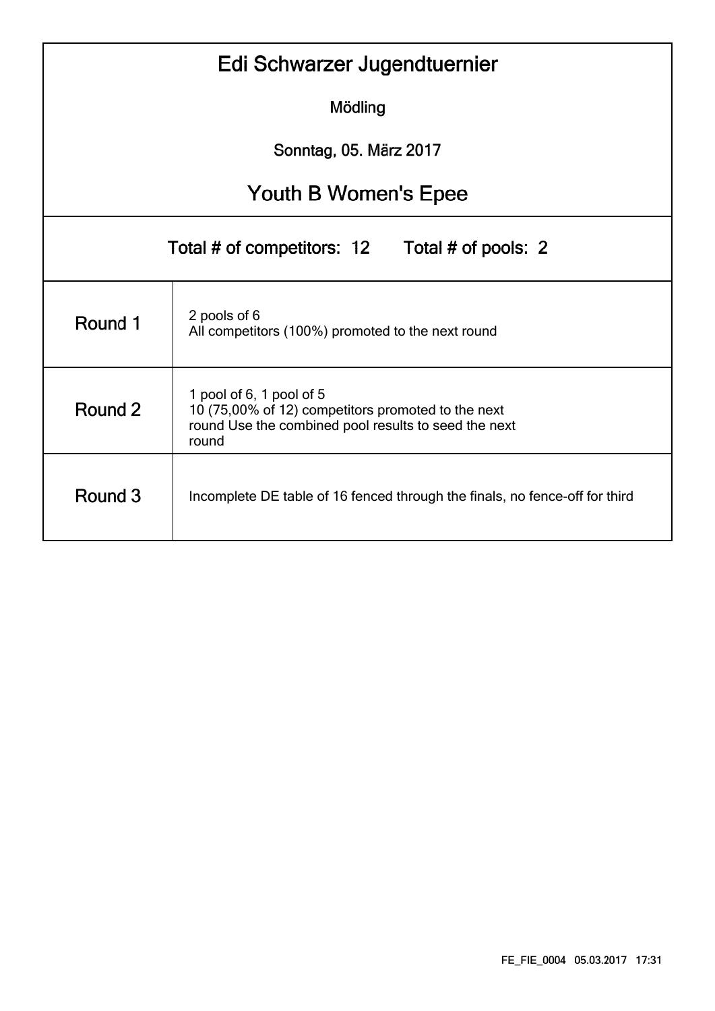|                                                | Edi Schwarzer Jugendtuernier                                                                                                                    |  |  |  |  |  |  |  |  |  |  |  |
|------------------------------------------------|-------------------------------------------------------------------------------------------------------------------------------------------------|--|--|--|--|--|--|--|--|--|--|--|
|                                                | Mödling                                                                                                                                         |  |  |  |  |  |  |  |  |  |  |  |
| Sonntag, 05. März 2017                         |                                                                                                                                                 |  |  |  |  |  |  |  |  |  |  |  |
| Youth B Women's Epee                           |                                                                                                                                                 |  |  |  |  |  |  |  |  |  |  |  |
| Total # of competitors: 12 Total # of pools: 2 |                                                                                                                                                 |  |  |  |  |  |  |  |  |  |  |  |
| Round 1                                        | 2 pools of 6<br>All competitors (100%) promoted to the next round                                                                               |  |  |  |  |  |  |  |  |  |  |  |
| Round 2                                        | 1 pool of 6, 1 pool of 5<br>10 (75,00% of 12) competitors promoted to the next<br>round Use the combined pool results to seed the next<br>round |  |  |  |  |  |  |  |  |  |  |  |
| Round 3                                        | Incomplete DE table of 16 fenced through the finals, no fence-off for third                                                                     |  |  |  |  |  |  |  |  |  |  |  |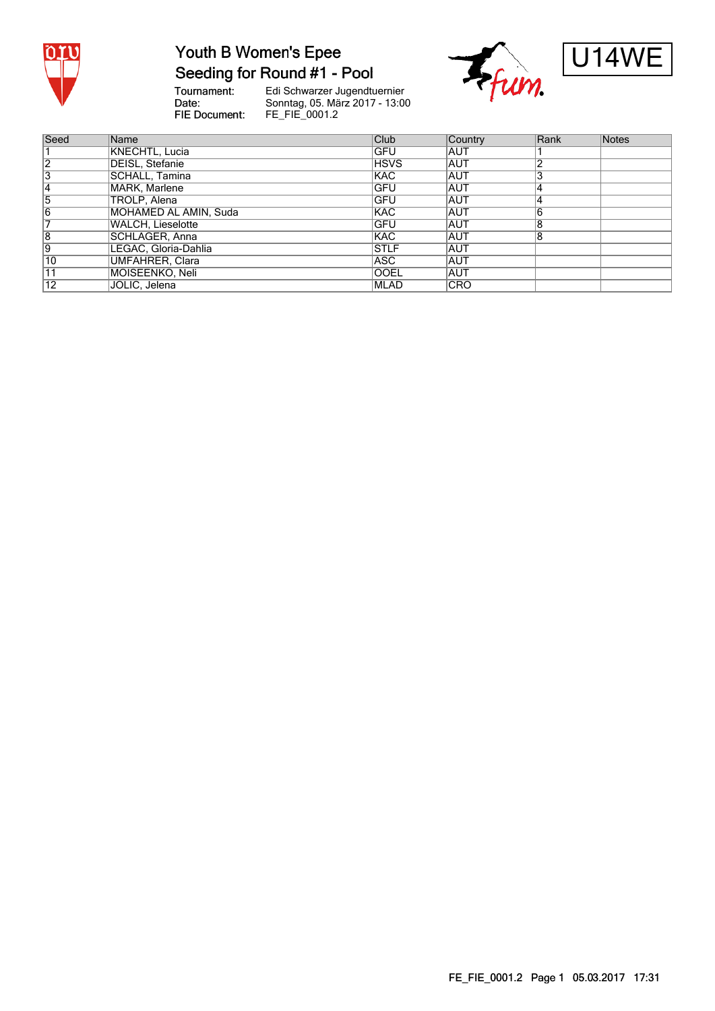

# Youth B Women's Epee

Seeding for Round #1 - Pool

Tournament:<br>Date: FIE Document:

Edi Schwarzer Jugendtuernier<br>Sonntag, 05. März 2017 - 13:00<br>FE\_FIE\_0001.2





| Seed            | Name                     | <b>Club</b>  | Country    | Rank | Notes |
|-----------------|--------------------------|--------------|------------|------|-------|
|                 | <b>KNECHTL, Lucia</b>    | GFU          | IAUT       |      |       |
| 12              | DEISL, Stefanie          | <b>HSVS</b>  | <b>AUT</b> |      |       |
| 3               | SCHALL, Tamina           | <b>KAC</b>   | <b>AUT</b> |      |       |
|                 | MARK, Marlene            | IGFU         | <b>AUT</b> |      |       |
| 5               | TROLP, Alena             | <b>IGFU</b>  | <b>AUT</b> |      |       |
| 16              | MOHAMED AL AMIN, Suda    | <b>KAC</b>   | <b>AUT</b> |      |       |
|                 | <b>WALCH, Lieselotte</b> | GFU          | <b>AUT</b> |      |       |
| 8               | SCHLAGER, Anna           | KAC          | <b>AUT</b> | Ο    |       |
| Ι9              | LEGAC, Gloria-Dahlia     | <b>STLF</b>  | AUT        |      |       |
| 10              | UMFAHRER, Clara          | ASC.         | <b>AUT</b> |      |       |
| 11              | MOISEENKO, Neli          | <b>OOEL</b>  | <b>AUT</b> |      |       |
| $\overline{12}$ | JOLIC, Jelena            | <b>IMLAD</b> | ICRO       |      |       |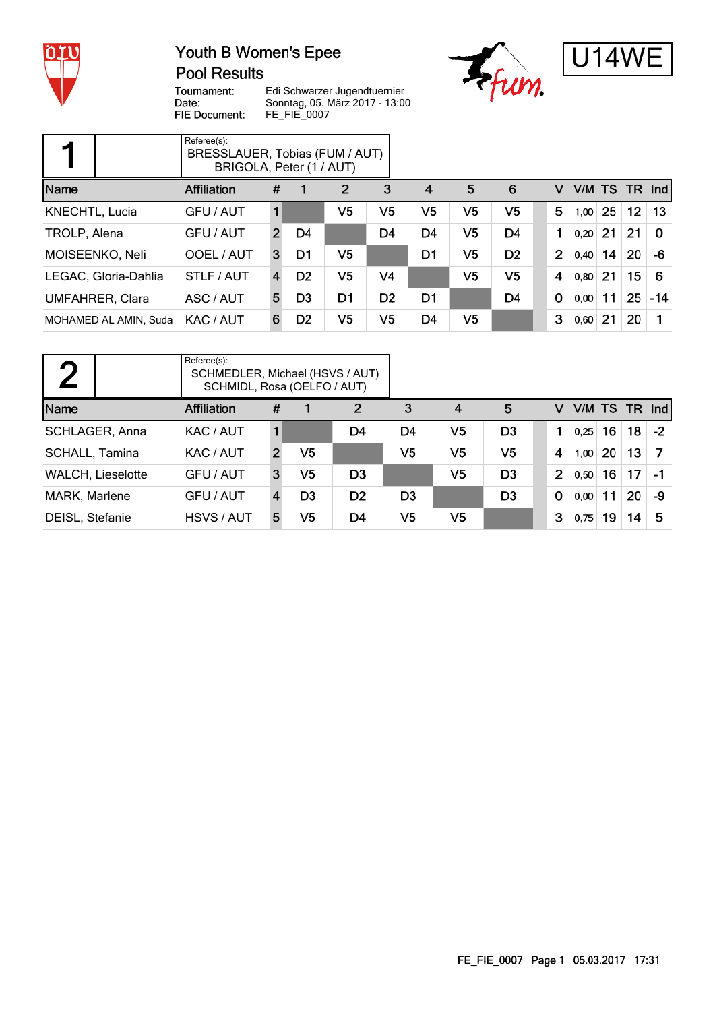

#### Youth B Women's Epee **Pool Results**





Tournament: Date: FIE Document:

Edi Schwarzer Jugendtuernier Sonntag, 05. März 2017 - 13:00 FE\_FIE\_0007

|                        | Referee(s):<br>BRESSLAUER, Tobias (FUM / AUT)<br>BRIGOLA, Peter (1 / AUT) |                |                |                |                |                |                |                |                |        |    |                 |          |
|------------------------|---------------------------------------------------------------------------|----------------|----------------|----------------|----------------|----------------|----------------|----------------|----------------|--------|----|-----------------|----------|
| Name                   | Affiliation                                                               | #              |                | $\overline{2}$ | 3              | $\overline{4}$ | 5              | 6              | v              | V/M TS |    | <b>TR</b>       | Ind      |
| <b>KNECHTL, Lucia</b>  | GFU / AUT                                                                 |                |                | V <sub>5</sub> | V5             | V <sub>5</sub> | V5             | V <sub>5</sub> | 5              | 1,00   | 25 | 12 <sub>2</sub> | 13       |
| TROLP, Alena           | GFU / AUT                                                                 | $\overline{2}$ | D4             |                | D <sub>4</sub> | D <sub>4</sub> | V <sub>5</sub> | D <sub>4</sub> | 1              | 0.20   | 21 | 21              | $\Omega$ |
| MOISEENKO, Neli        | OOEL / AUT                                                                | 3              | D1             | V <sub>5</sub> |                | D1             | V <sub>5</sub> | D <sub>2</sub> | $\overline{2}$ | 0,40   | 14 | 20              | -6       |
| LEGAC, Gloria-Dahlia   | STLF / AUT                                                                | 4              | D <sub>2</sub> | V <sub>5</sub> | V <sub>4</sub> |                | V <sub>5</sub> | V <sub>5</sub> | 4              | 0,80   | 21 | 15              | 6        |
| <b>UMFAHRER, Clara</b> | ASC / AUT                                                                 | 5              | D <sub>3</sub> | D1             | D <sub>2</sub> | D <sub>1</sub> |                | D <sub>4</sub> | $\mathbf 0$    | 0,00   | 11 | 25              | $-14$    |
| MOHAMED AL AMIN, Suda  | KAC / AUT                                                                 | 6              | D <sub>2</sub> | V <sub>5</sub> | V <sub>5</sub> | D <sub>4</sub> | V <sub>5</sub> |                | 3              | 0,60   | 21 | 20              |          |

| Referee(s):<br>$\blacksquare$<br>SCHMEDLER, Michael (HSVS / AUT)<br>SCHMIDL, Rosa (OELFO / AUT) |                    |    |                |                |                |                |                |                |      |    |                 |      |
|-------------------------------------------------------------------------------------------------|--------------------|----|----------------|----------------|----------------|----------------|----------------|----------------|------|----|-----------------|------|
| Name                                                                                            | <b>Affiliation</b> | #  |                | 2              | 3              | $\overline{4}$ | 5              | v              |      |    | V/M TS TR Ind   |      |
| SCHLAGER, Anna                                                                                  | KAC / AUT          | 1. |                | D4             | D4             | V <sub>5</sub> | D <sub>3</sub> |                | 0,25 | 16 | 18 <sup>1</sup> | $-2$ |
| <b>SCHALL, Tamina</b>                                                                           | KAC / AUT          | 2  | V5             |                | V <sub>5</sub> | V <sub>5</sub> | V <sub>5</sub> | 4              | 1,00 | 20 | 13              | -7   |
| <b>WALCH, Lieselotte</b>                                                                        | GFU / AUT          | 3  | V5             | D <sub>3</sub> |                | V <sub>5</sub> | D <sub>3</sub> | $\overline{2}$ | 0,50 | 16 | 17              | - 1  |
| MARK, Marlene                                                                                   | GFU / AUT          |    | D <sub>3</sub> | D <sub>2</sub> | D <sub>3</sub> |                | D <sub>3</sub> | $\mathbf 0$    | 0,00 | 11 | 20              | -9   |
| DEISL, Stefanie                                                                                 | HSVS / AUT         | 5  | V <sub>5</sub> | D4             | V <sub>5</sub> | V <sub>5</sub> |                | 3              | 0,75 | 19 | 14              | 5    |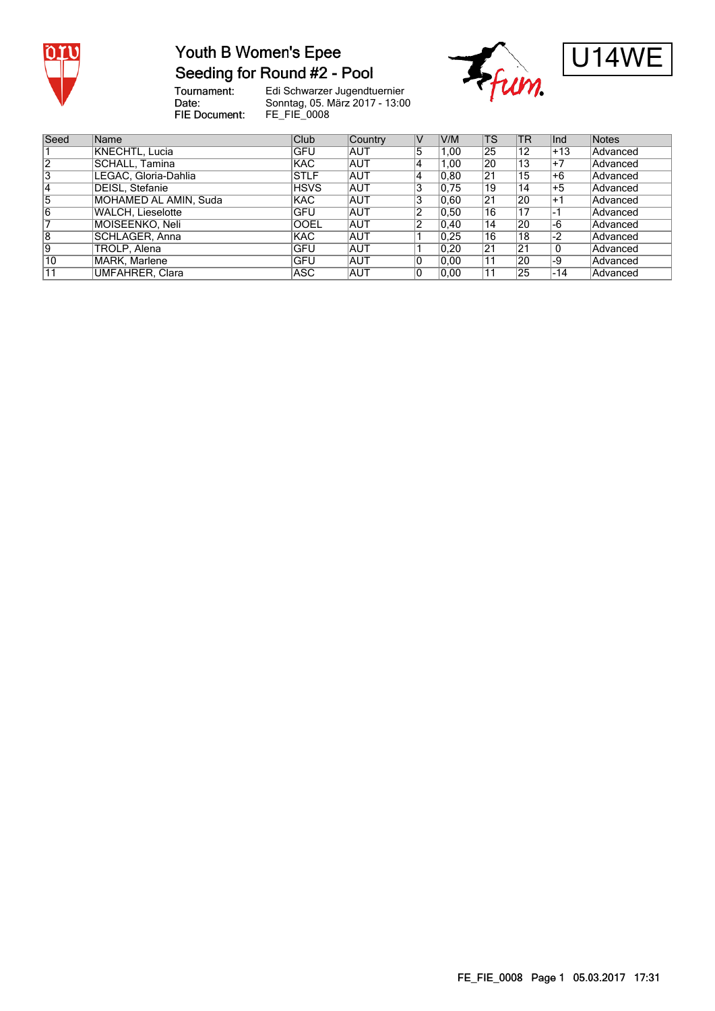

#### Youth B Women's Epee Seeding for Round #2 - Pool

Tournament:<br>Date: **FIE Document:** 

Edi Schwarzer Jugendtuernier Sonntag, 05. März 2017 - 13:00 FE\_FIE\_0008





| Seed           | Name                   | Club        | Country    | V   | V/M   | TS | <b>TR</b> | lnd   | Notes    |
|----------------|------------------------|-------------|------------|-----|-------|----|-----------|-------|----------|
|                | KNECHTL, Lucia         | GFU         | AUT        | 5   | 1,00  | 25 | 12        | ∣+13  | Advanced |
| $\overline{2}$ | SCHALL, Tamina         | <b>KAC</b>  | AUT        | 4   | 1.00  | 20 | ำ3        | $+7$  | Advanced |
| 3              | LEGAC, Gloria-Dahlia   | <b>STLF</b> | <b>AUT</b> | 4   | 0.80  | 21 | 15        | +6    | Advanced |
| 4              | <b>DEISL, Stefanie</b> | <b>HSVS</b> | <b>AUT</b> | ι3. | 0.75  | 19 | 14        | $+5$  | Advanced |
| $\overline{5}$ | MOHAMED AL AMIN, Suda  | <b>KAC</b>  | <b>AUT</b> | 13  | 0.60  | 21 | 20        | ∣+1   | Advanced |
| $\overline{6}$ | WALCH, Lieselotte      | <b>GFU</b>  | <b>AUT</b> | 12  | 0, 50 | 16 | 17        |       | Advanced |
|                | MOISEENKO, Neli        | <b>OOEL</b> | <b>AUT</b> | 2   | 0,40  | 14 | 20        | -6    | Advanced |
| 8              | SCHLAGER, Anna         | <b>KAC</b>  | <b>AUT</b> |     | 0,25  | 16 | 18        | $-2$  | Advanced |
| 9              | TROLP, Alena           | GFU         | <b>AUT</b> |     | 0.20  | 21 | 21        | 0     | Advanced |
| $ 10\rangle$   | MARK, Marlene          | GFU         | <b>AUT</b> | 10  | 0.00  | 11 | 20        | -9    | Advanced |
| 11             | <b>UMFAHRER, Clara</b> | ASC         | <b>AUT</b> | 10  | 0.00  |    | 25        | $-14$ | Advanced |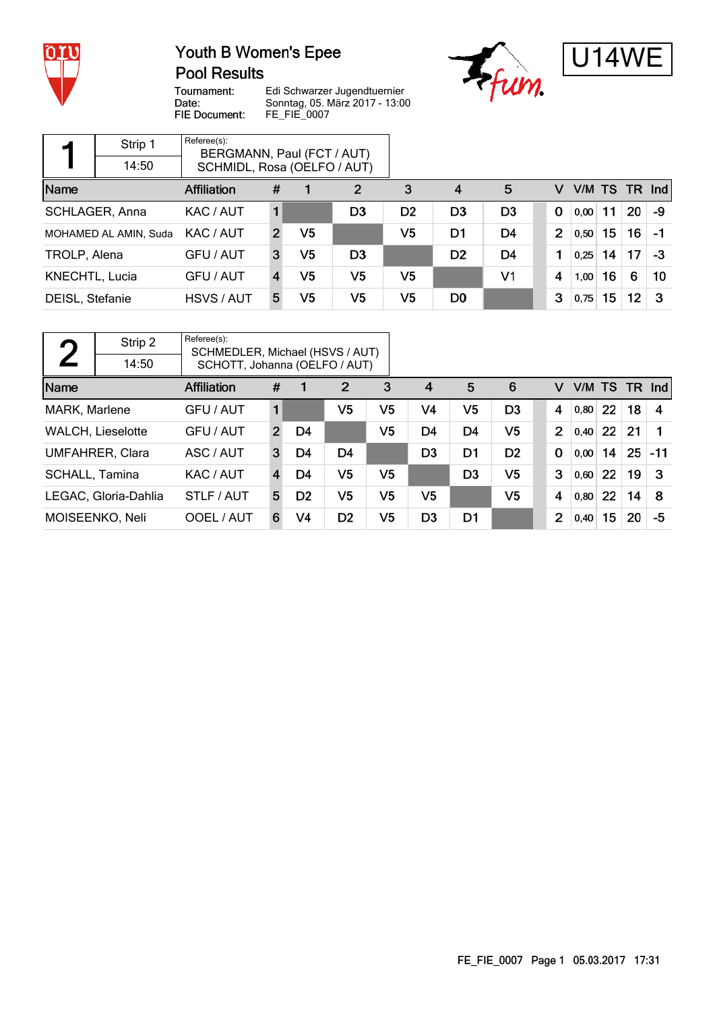

#### Youth B Women's Epee **Pool Results**





Tournament: Date: FIE Document: Edi Schwarzer Jugendtuernier Sonntag, 05. März 2017 - 13:00 FE\_FIE\_0007

| Referee(s):<br>Strip 1<br>BERGMANN, Paul (FCT / AUT)<br>14:50 |                       |            |              |                |                |                |                |                |                |      |    |           |     |
|---------------------------------------------------------------|-----------------------|------------|--------------|----------------|----------------|----------------|----------------|----------------|----------------|------|----|-----------|-----|
| SCHMIDL, Rosa (OELFO / AUT)                                   |                       |            |              |                |                |                |                |                |                |      |    |           |     |
| Name<br>Affiliation                                           |                       |            | #            |                | 2              | 3              | 4              | 5              | v              |      |    | V/M TS TR | Ind |
| SCHLAGER, Anna                                                |                       | KAC / AUT  |              |                | D <sub>3</sub> | D <sub>2</sub> | D <sub>3</sub> | D <sub>3</sub> | $\mathbf 0$    | 0,00 | 11 | 20        | -9  |
|                                                               | MOHAMED AL AMIN, Suda | KAC / AUT  | $\mathbf{2}$ | V <sub>5</sub> |                | V <sub>5</sub> | D1             | D4             | $\overline{2}$ | 0,50 | 15 | 16        | -1  |
| TROLP, Alena                                                  |                       | GFU / AUT  | 3            | V5             | D <sub>3</sub> |                | D <sub>2</sub> | D4             | 1              | 0,25 | 14 | 17        | -3  |
| <b>KNECHTL, Lucia</b>                                         |                       | GFU / AUT  |              | V <sub>5</sub> | V <sub>5</sub> | V <sub>5</sub> |                | V <sub>1</sub> | 4              | 1,00 | 16 | 6         | 10  |
| DEISL, Stefanie                                               |                       | HSVS / AUT | 5            | V5             | V <sub>5</sub> | V <sub>5</sub> | D <sub>0</sub> |                | 3              | 0,75 | 15 | 12        | 3   |

| $\bigcap$                | Strip 2                | Referee(s):<br>SCHMEDLER, Michael (HSVS / AUT) |                |                |                |                |                |                |                |                |      |    |          |       |
|--------------------------|------------------------|------------------------------------------------|----------------|----------------|----------------|----------------|----------------|----------------|----------------|----------------|------|----|----------|-------|
|                          | 14:50                  | SCHOTT, Johanna (OELFO / AUT)                  |                |                |                |                |                |                |                |                |      |    |          |       |
| Name                     |                        | #                                              |                | 2              | 3              | 4              | 5              | 6              | v              | V/M TS         |      |    | $TR$ Ind |       |
| MARK, Marlene            |                        | GFU / AUT                                      | 1              |                | V <sub>5</sub> | V <sub>5</sub> | V4             | V <sub>5</sub> | D <sub>3</sub> | 4              | 0,80 | 22 | 18       | 4     |
| <b>WALCH, Lieselotte</b> |                        | GFU / AUT                                      | $\overline{2}$ | D4             |                | V <sub>5</sub> | D <sub>4</sub> | D <sub>4</sub> | V <sub>5</sub> | $\overline{2}$ | 0,40 | 22 | 21       |       |
|                          | <b>UMFAHRER, Clara</b> | ASC / AUT                                      | 3              | D4             | D4             |                | D <sub>3</sub> | D <sub>1</sub> | D <sub>2</sub> | $\Omega$       | 0,00 | 14 | 25       | $-11$ |
| <b>SCHALL, Tamina</b>    |                        | KAC / AUT                                      | 4              | D4             | V <sub>5</sub> | V <sub>5</sub> |                | D <sub>3</sub> | V <sub>5</sub> | 3              | 0,60 | 22 | 19       | 3     |
|                          | LEGAC, Gloria-Dahlia   | STLF / AUT                                     | 5              | D <sub>2</sub> | V <sub>5</sub> | V <sub>5</sub> | V <sub>5</sub> |                | V <sub>5</sub> | 4              | 0,80 | 22 | 14       | 8     |
| MOISEENKO, Neli          |                        | OOEL / AUT                                     | 6              | V4             | D <sub>2</sub> | V5             | D <sub>3</sub> | D <sub>1</sub> |                | $\overline{2}$ | 0,40 | 15 | 20       | -5    |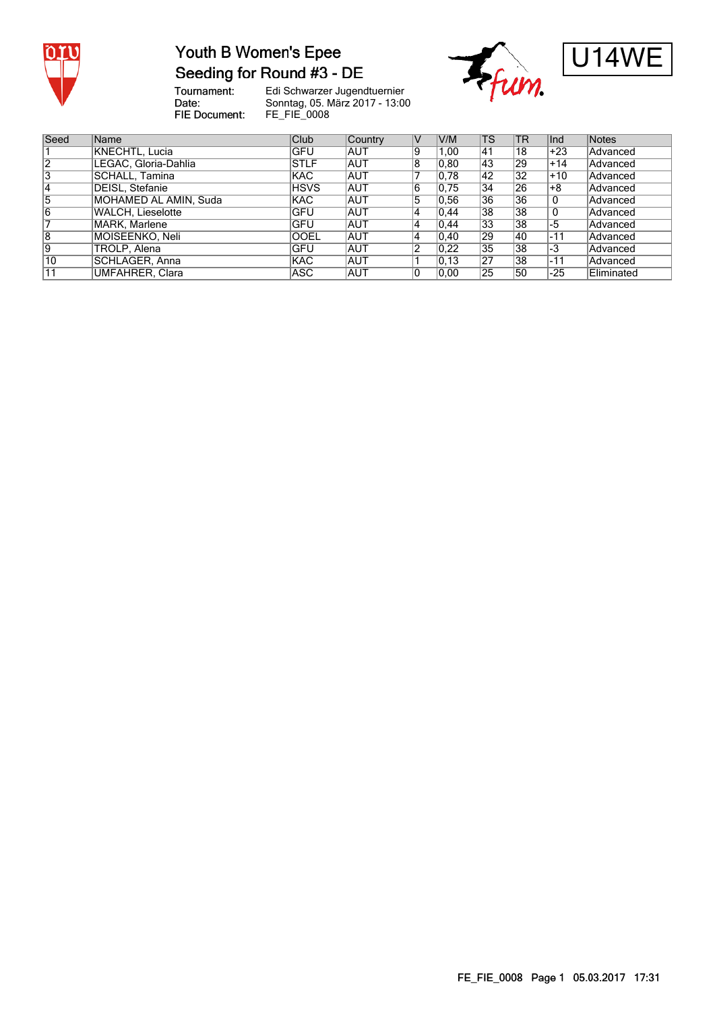

### Youth B Women's Epee Seeding for Round #3 - DE

Tournament:<br>Date: FIE Document:

Edi Schwarzer Jugendtuernier Sonntag, 05. März 2017 - 13:00 FE\_FIE\_0008





| Seed            | <b>Name</b>            | Club        | <b>Country</b> | V              | V/M            | <b>TS</b> | <b>TR</b>       | Ind   | <b>Notes</b>    |
|-----------------|------------------------|-------------|----------------|----------------|----------------|-----------|-----------------|-------|-----------------|
|                 | KNECHTL, Lucia         | <b>GFU</b>  | <b>AUT</b>     | Ι9             | 1.00           | 41        | 18              | $+23$ | Advanced        |
| $\overline{2}$  | LEGAC. Gloria-Dahlia   | <b>STLF</b> | <b>AUT</b>     | 8              | 0.80           | 43        | 29              | $+14$ | Advanced        |
| 3               | SCHALL. Tamina         | <b>KAC</b>  | <b>AUT</b>     |                | 0.78           | 42        | $\overline{32}$ | $+10$ | Advanced        |
| 14              | DEISL, Stefanie        | <b>HSVS</b> | <b>AUT</b>     | 6              | 0.75           | 34        | 26              | $+8$  | Advanced        |
| 5               | MOHAMED AL AMIN, Suda  | <b>KAC</b>  | <b>AUT</b>     | 5              | 0.56           | 36        | 36              | 0     | Advanced        |
| 16              | WALCH, Lieselotte      | <b>GFU</b>  | IAUT           | 14             | 0.44           | 38        | 38              | 0     | <b>Advanced</b> |
|                 | MARK. Marlene          | GFU         | <b>AUT</b>     | 4              | 0.44           | 33        | 38              | $-5$  | <b>Advanced</b> |
| 8               | IMOISEENKO. Neli       | OOEL        | <b>AUT</b>     | 4              | $ 0,40\rangle$ | 29        | 40              | $-11$ | Advanced        |
| 9               | TROLP, Alena           | GFU         | <b>AUT</b>     | $\overline{2}$ | 0.22           | 35        | 38              | -3    | Advanced        |
| $\overline{10}$ | SCHLAGER, Anna         | <b>KAC</b>  | <b>AUT</b>     |                | 0.13           | 27        | 38              | $-11$ | Advanced        |
| 11              | <b>UMFAHRER, Clara</b> | ASC.        | <b>AUT</b>     | 10             | 0.00           | 25        | 50              | $-25$ | Eliminated      |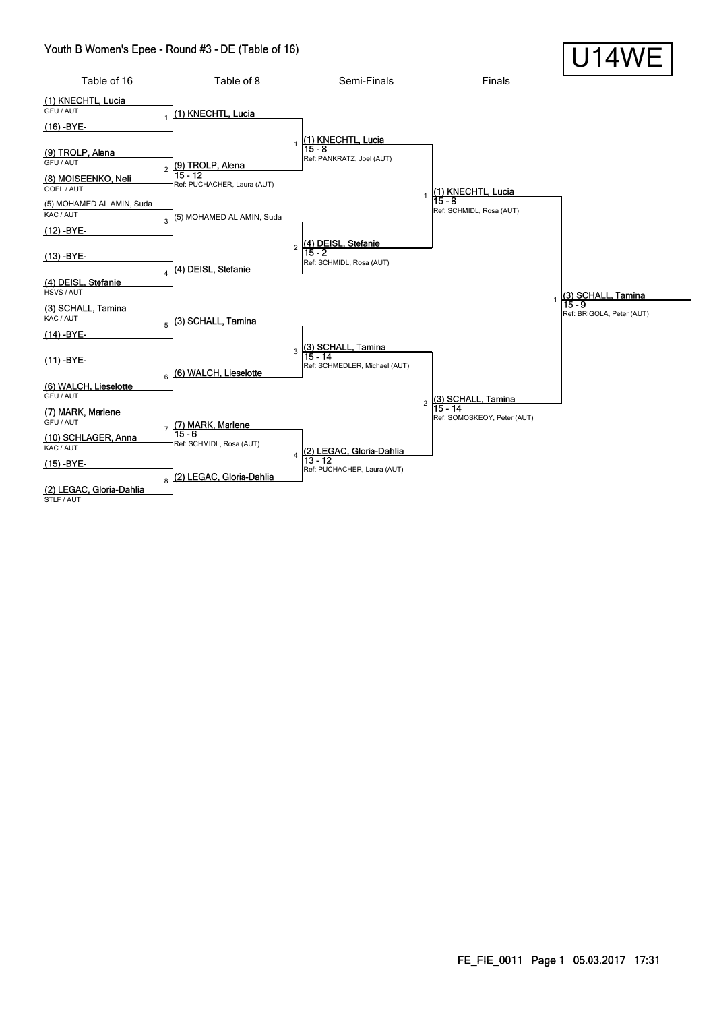#### Youth B Women's Epee - Round #3 - DE (Table of 16)

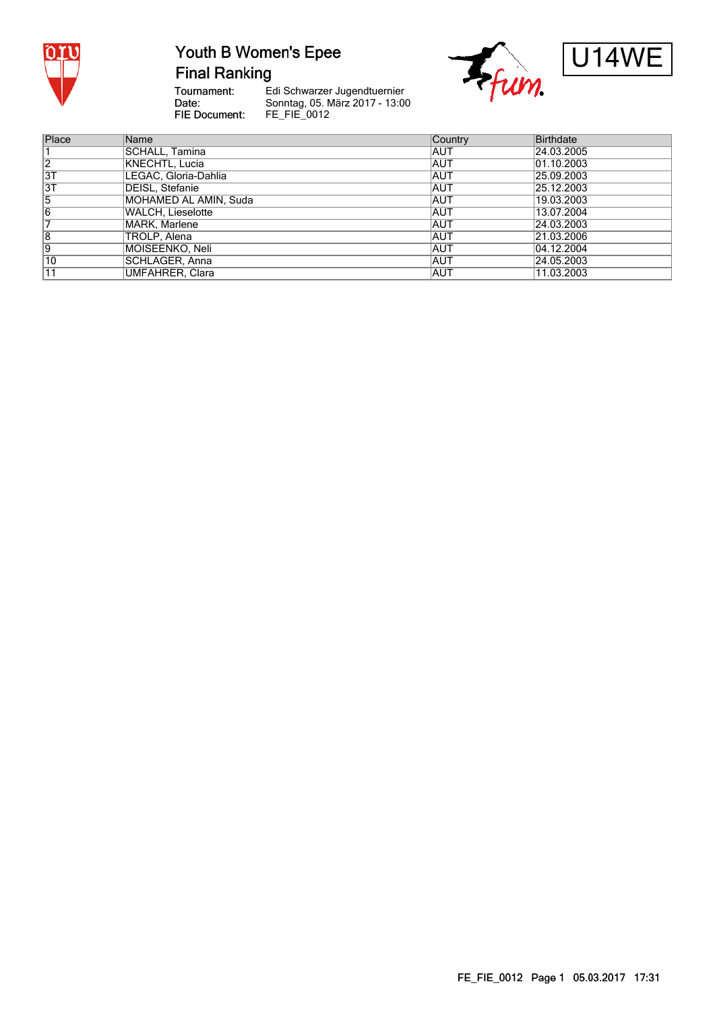

### Youth B Women's Epee

**Final Ranking** 

Tournament:<br>Date: FIE Document:

Edi Schwarzer Jugendtuernier Sonntag, 05. März 2017 - 13:00<br>FE\_FIE\_0012





| Place          | Name                   | <b>Country</b> | <b>Birthdate</b> |
|----------------|------------------------|----------------|------------------|
|                | SCHALL. Tamina         | IAUT           | 24.03.2005       |
| $\overline{2}$ | KNECHTL, Lucia         | <b>AUT</b>     | 01.10.2003       |
| $\overline{3}$ | LEGAC, Gloria-Dahlia   | IAUT           | 25.09.2003       |
| 3T             | <b>DEISL, Stefanie</b> | IAUT           | 25.12.2003       |
| 5              | MOHAMED AL AMIN, Suda  | IAUT           | 19.03.2003       |
| 6              | WALCH, Lieselotte      | <b>AUT</b>     | 13.07.2004       |
|                | MARK, Marlene          | IAUT           | 24.03.2003       |
| 8              | TROLP, Alena           | IAUT           | 21.03.2006       |
| 9              | MOISEENKO, Neli        | IAUT           | 04.12.2004       |
| 10             | SCHLAGER, Anna         | <b>AUT</b>     | 24.05.2003       |
| 11             | UMFAHRER, Clara        | IAUT           | 11.03.2003       |